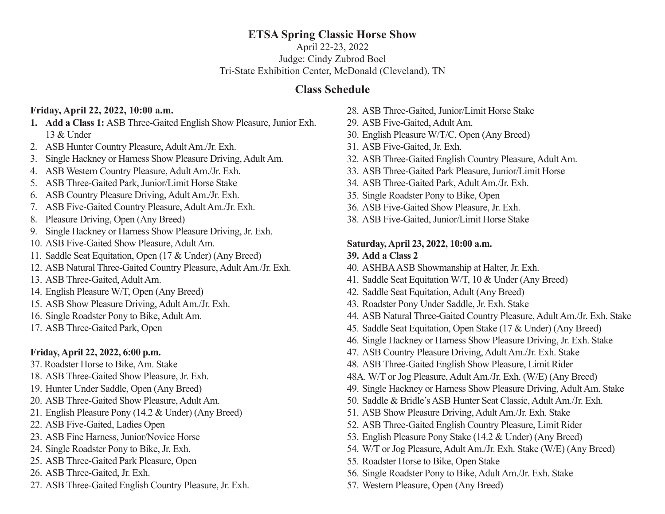## **ETSA Spring Classic Horse Show**

April 22-23, 2022 Judge: Cindy Zubrod Boel Tri-State Exhibition Center, McDonald (Cleveland), TN

## **Class Schedule**

### **Friday, April 22, 2022, 10:00 a.m.**

- **1. Add a Class 1:** ASB Three-Gaited English Show Pleasure, Junior Exh. 13 & Under
- 2. ASB Hunter Country Pleasure, Adult Am./Jr. Exh.
- 3. Single Hackney or Harness Show Pleasure Driving, Adult Am.
- 4. ASB Western Country Pleasure, Adult Am./Jr. Exh.
- 5. ASB Three-Gaited Park, Junior/Limit Horse Stake
- 6. ASB Country Pleasure Driving, Adult Am./Jr. Exh.
- 7. ASB Five-Gaited Country Pleasure, Adult Am./Jr. Exh.
- 8. Pleasure Driving, Open (Any Breed)
- 9. Single Hackney or Harness Show Pleasure Driving, Jr. Exh.
- 10. ASB Five-Gaited Show Pleasure, Adult Am.
- 11. Saddle Seat Equitation, Open (17 & Under) (Any Breed)
- 12. ASB Natural Three-Gaited Country Pleasure, Adult Am./Jr. Exh.
- 13. ASB Three-Gaited, Adult Am.
- 14. English Pleasure W/T, Open (Any Breed)
- 15. ASB Show Pleasure Driving, Adult Am./Jr. Exh.
- 16. Single Roadster Pony to Bike, Adult Am.
- 17. ASB Three-Gaited Park, Open

## **Friday, April 22, 2022, 6:00 p.m.**

- 37. Roadster Horse to Bike, Am. Stake
- 18. ASB Three-Gaited Show Pleasure, Jr. Exh.
- 19. Hunter Under Saddle, Open (Any Breed)
- 20. ASB Three-Gaited Show Pleasure, Adult Am.
- 21. English Pleasure Pony (14.2 & Under) (Any Breed)
- 22. ASB Five-Gaited, Ladies Open
- 23. ASB Fine Harness, Junior/Novice Horse
- 24. Single Roadster Pony to Bike, Jr. Exh.
- 25. ASB Three-Gaited Park Pleasure, Open
- 26. ASB Three-Gaited, Jr. Exh.
- 27. ASB Three-Gaited English Country Pleasure, Jr. Exh.
- 28. ASB Three-Gaited, Junior/Limit Horse Stake
- 29. ASB Five-Gaited, Adult Am.
- 30. English Pleasure W/T/C, Open (Any Breed)
- 31. ASB Five-Gaited, Jr. Exh.
- 32. ASB Three-Gaited English Country Pleasure, Adult Am.
- 33. ASB Three-Gaited Park Pleasure, Junior/Limit Horse
- 34. ASB Three-Gaited Park, Adult Am./Jr. Exh.
- 35. Single Roadster Pony to Bike, Open
- 36. ASB Five-Gaited Show Pleasure, Jr. Exh.
- 38. ASB Five-Gaited, Junior/Limit Horse Stake

### **Saturday, April 23, 2022, 10:00 a.m. 39. Add a Class 2**

- 40. ASHBA ASB Showmanship at Halter, Jr. Exh.
- 41. Saddle Seat Equitation W/T, 10 & Under (Any Breed)
- 42. Saddle Seat Equitation, Adult (Any Breed)
- 43. Roadster Pony Under Saddle, Jr. Exh. Stake
- 44. ASB Natural Three-Gaited Country Pleasure, Adult Am./Jr. Exh. Stake
- 45. Saddle Seat Equitation, Open Stake (17 & Under) (Any Breed)
- 46. Single Hackney or Harness Show Pleasure Driving, Jr. Exh. Stake
- 47. ASB Country Pleasure Driving, Adult Am./Jr. Exh. Stake
- 48. ASB Three-Gaited English Show Pleasure, Limit Rider
- 48A. W/T or Jog Pleasure, Adult Am./Jr. Exh. (W/E) (Any Breed)
- 49. Single Hackney or Harness Show Pleasure Driving, Adult Am. Stake
- 50. Saddle & Bridle's ASB Hunter Seat Classic, Adult Am./Jr. Exh.
- 51. ASB Show Pleasure Driving, Adult Am./Jr. Exh. Stake
- 52. ASB Three-Gaited English Country Pleasure, Limit Rider
- 53. English Pleasure Pony Stake (14.2 & Under) (Any Breed)
- 54. W/T or Jog Pleasure, Adult Am./Jr. Exh. Stake (W/E) (Any Breed)
- 55. Roadster Horse to Bike, Open Stake
- 56. Single Roadster Pony to Bike, Adult Am./Jr. Exh. Stake
- 57. Western Pleasure, Open (Any Breed)